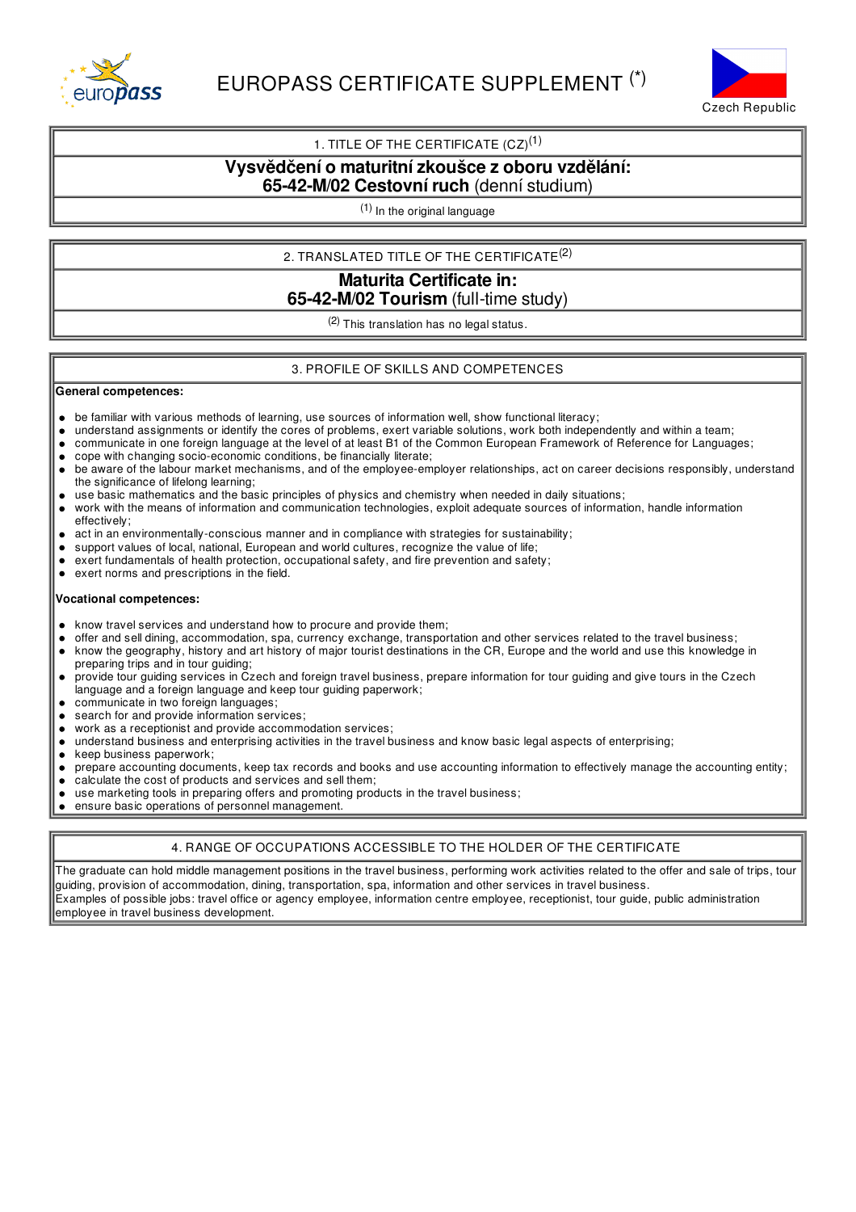



# 1. TITLE OF THE CERTIFICATE  $(CZ)^{(1)}$

## **Vysvědčení o maturitnízkoušce z oboru vzdělání: 65-42-M/02 Cestovní ruch** (denní studium)

(1) In the original language

2. TRANSLATED TITLE OF THE CERTIFICATE $^{(2)}$ 

**Maturita Certificate in: 65-42-M/02 Tourism** (full-time study)

(2) This translation has no legal status.

### 3. PROFILE OF SKILLS AND COMPETENCES

#### **General competences:**

- be familiar with various methods of learning, use sources of information well, show functional literacy;  $\bullet$
- understand assignments or identify the cores of problems, exert variable solutions, work both independently and within a team;
- communicate in one foreign language at the level of at least B1 of the Common European Framework of Reference for Languages;  $\bullet$
- cope with changing socio-economic conditions, be financially literate;
- be aware of the labour market mechanisms, and of the employee-employer relationships, act on career decisions responsibly, understand  $\bullet$ the significance of lifelong learning;
- use basic mathematics and the basic principles of physics and chemistry when needed in daily situations;
- work with the means of information and communication technologies, exploit adequate sources of information, handle information effectively;
- act in an environmentally-conscious manner and in compliance with strategies for sustainability;
- support values of local, national, European and world cultures, recognize the value of life;  $\bullet$
- exert fundamentals of health protection, occupational safety, and fire prevention and safety;
- exert norms and prescriptions in the field.

#### **Vocational competences:**

- $\bullet$ know travel services and understand how to procure and provide them;
- offer and sell dining, accommodation, spa, currency exchange, transportation and other services related to the travel business;
- know the geography, history and art history of major tourist destinations in the CR, Europe and the world and use this knowledge in  $\bullet$ preparing trips and in tour guiding;
- provide tour guiding services in Czech and foreign travel business, prepare information for tour guiding and give tours in the Czech language and a foreign language and keep tour guiding paperwork;
- communicate in two foreign languages;
- search for and provide information services;
- work as a receptionist and provide accommodation services;
- understand business and enterprising activities in the travel business and know basic legal aspects of enterprising;  $\bullet$
- $\bullet$ keep business paperwork;
- prepare accounting documents, keep tax records and books and use accounting information to effectively manage the accounting entity;  $\bullet$
- calculate the cost of products and services and sell them;  $\bullet$
- use marketing tools in preparing offers and promoting products in the travel business;
- ensure basic operations of personnel management.

#### 4. RANGE OF OCCUPATIONS ACCESSIBLE TO THE HOLDER OF THE CERTIFICATE

The graduate can hold middle management positions in the travel business, performing work activities related to the offer and sale of trips, tour guiding, provision of accommodation, dining, transportation, spa, information and other services in travel business. Examples of possible jobs: travel office or agency employee, information centre employee, receptionist, tour guide, public administration employee in travel business development.